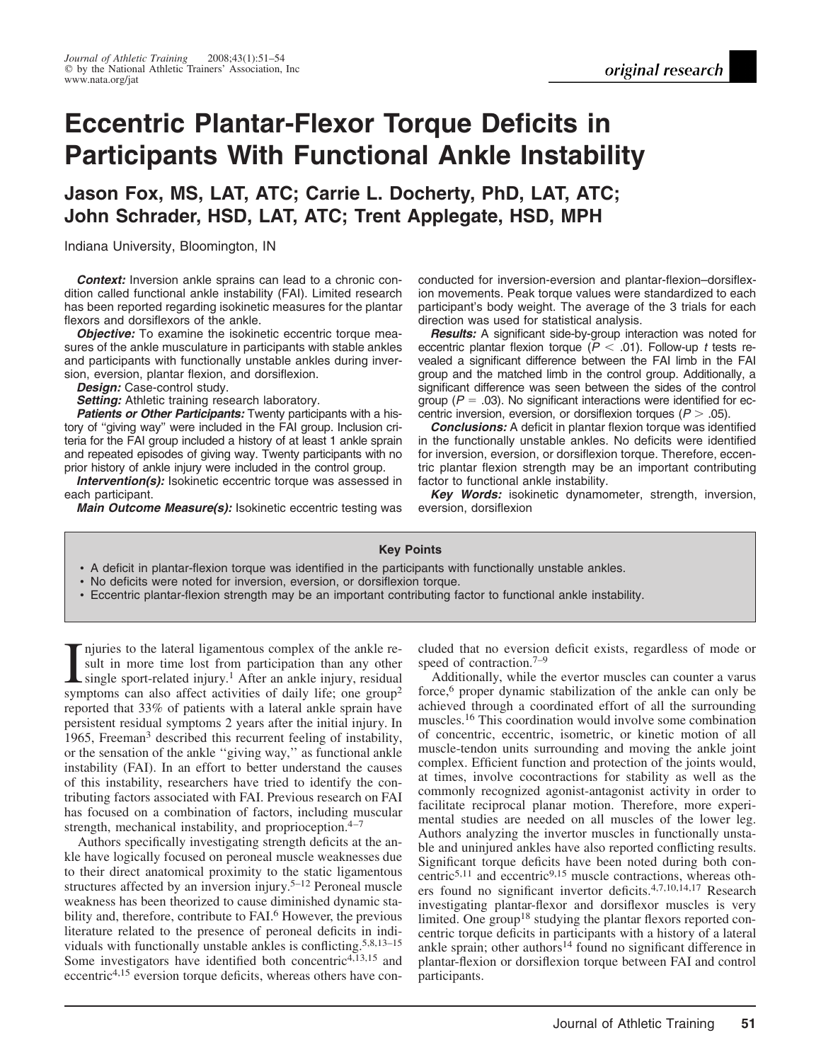# **Eccentric Plantar-Flexor Torque Deficits in Participants With Functional Ankle Instability**

**Jason Fox, MS, LAT, ATC; Carrie L. Docherty, PhD, LAT, ATC; John Schrader, HSD, LAT, ATC; Trent Applegate, HSD, MPH**

Indiana University, Bloomington, IN

*Context:* Inversion ankle sprains can lead to a chronic condition called functional ankle instability (FAI). Limited research has been reported regarding isokinetic measures for the plantar flexors and dorsiflexors of the ankle.

**Objective:** To examine the isokinetic eccentric torque measures of the ankle musculature in participants with stable ankles and participants with functionally unstable ankles during inversion, eversion, plantar flexion, and dorsiflexion.

*Design:* Case-control study.

**Setting:** Athletic training research laboratory.

**Patients or Other Participants:** Twenty participants with a history of ''giving way'' were included in the FAI group. Inclusion criteria for the FAI group included a history of at least 1 ankle sprain and repeated episodes of giving way. Twenty participants with no prior history of ankle injury were included in the control group.

**Intervention(s):** Isokinetic eccentric torque was assessed in each participant.

*Main Outcome Measure(s):* Isokinetic eccentric testing was

conducted for inversion-eversion and plantar-flexion–dorsiflexion movements. Peak torque values were standardized to each participant's body weight. The average of the 3 trials for each direction was used for statistical analysis.

*Results:* A significant side-by-group interaction was noted for eccentric plantar flexion torque ( $P < .01$ ). Follow-up *t* tests revealed a significant difference between the FAI limb in the FAI group and the matched limb in the control group. Additionally, a significant difference was seen between the sides of the control group ( $P = .03$ ). No significant interactions were identified for eccentric inversion, eversion, or dorsiflexion torques  $(P > .05)$ .

*Conclusions:* A deficit in plantar flexion torque was identified in the functionally unstable ankles. No deficits were identified for inversion, eversion, or dorsiflexion torque. Therefore, eccentric plantar flexion strength may be an important contributing factor to functional ankle instability.

*Key Words:* isokinetic dynamometer, strength, inversion, eversion, dorsiflexion

# **Key Points**

- A deficit in plantar-flexion torque was identified in the participants with functionally unstable ankles.
- No deficits were noted for inversion, eversion, or dorsiflexion torque.
- Eccentric plantar-flexion strength may be an important contributing factor to functional ankle instability.

I njuries to the lateral ligamentous complex of the ankle result in more time lost from participation than any other single sport-related injury.<sup>1</sup> After an ankle injury, residual symptoms can also affect activities of da njuries to the lateral ligamentous complex of the ankle result in more time lost from participation than any other single sport-related injury.<sup>1</sup> After an ankle injury, residual reported that 33% of patients with a lateral ankle sprain have persistent residual symptoms 2 years after the initial injury. In 1965, Freeman<sup>3</sup> described this recurrent feeling of instability, or the sensation of the ankle ''giving way,'' as functional ankle instability (FAI). In an effort to better understand the causes of this instability, researchers have tried to identify the contributing factors associated with FAI. Previous research on FAI has focused on a combination of factors, including muscular strength, mechanical instability, and proprioception.<sup>4-7</sup>

Authors specifically investigating strength deficits at the ankle have logically focused on peroneal muscle weaknesses due to their direct anatomical proximity to the static ligamentous structures affected by an inversion injury.<sup>5–12</sup> Peroneal muscle weakness has been theorized to cause diminished dynamic stability and, therefore, contribute to FAI.<sup>6</sup> However, the previous literature related to the presence of peroneal deficits in individuals with functionally unstable ankles is conflicting.5,8,13–15 Some investigators have identified both concentric<sup>4,13,15</sup> and eccentric<sup>4,15</sup> eversion torque deficits, whereas others have concluded that no eversion deficit exists, regardless of mode or speed of contraction.<sup>7–9</sup>

Additionally, while the evertor muscles can counter a varus force,<sup>6</sup> proper dynamic stabilization of the ankle can only be achieved through a coordinated effort of all the surrounding muscles.16 This coordination would involve some combination of concentric, eccentric, isometric, or kinetic motion of all muscle-tendon units surrounding and moving the ankle joint complex. Efficient function and protection of the joints would, at times, involve cocontractions for stability as well as the commonly recognized agonist-antagonist activity in order to facilitate reciprocal planar motion. Therefore, more experimental studies are needed on all muscles of the lower leg. Authors analyzing the invertor muscles in functionally unstable and uninjured ankles have also reported conflicting results. Significant torque deficits have been noted during both concentric<sup>5,11</sup> and eccentric<sup>9,15</sup> muscle contractions, whereas others found no significant invertor deficits.4,7,10,14,17 Research investigating plantar-flexor and dorsiflexor muscles is very limited. One group<sup>18</sup> studying the plantar flexors reported concentric torque deficits in participants with a history of a lateral ankle sprain; other authors<sup>14</sup> found no significant difference in plantar-flexion or dorsiflexion torque between FAI and control participants.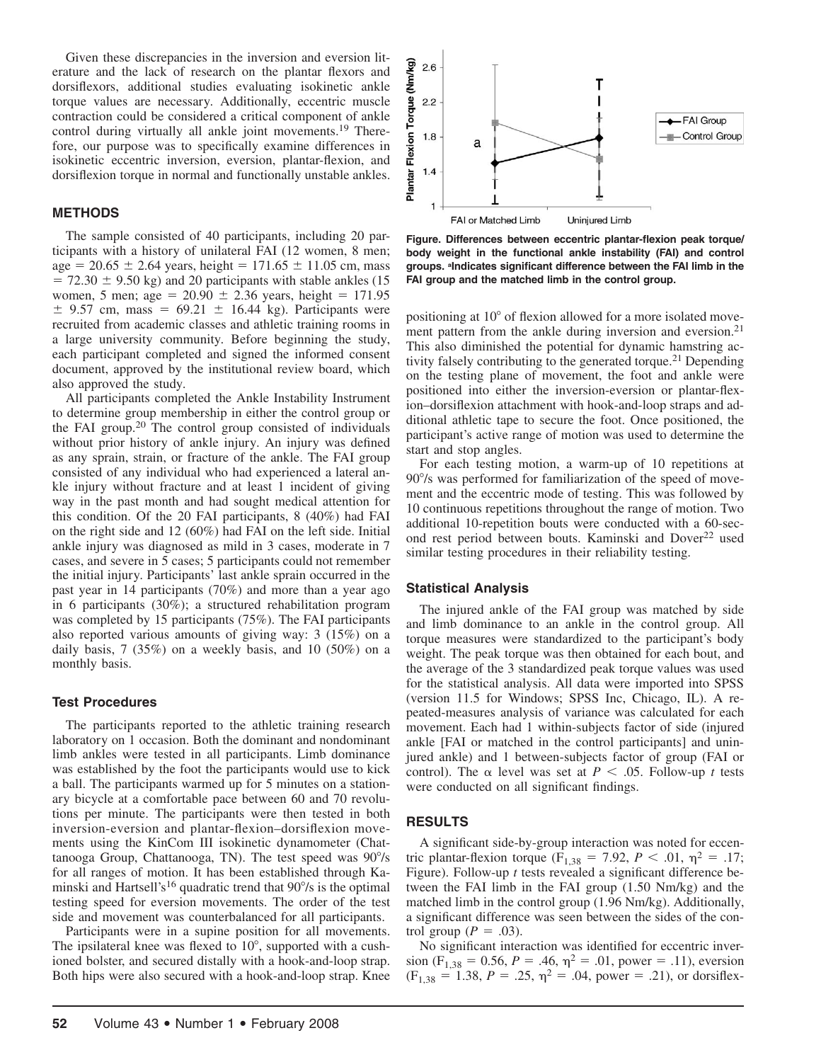Given these discrepancies in the inversion and eversion literature and the lack of research on the plantar flexors and dorsiflexors, additional studies evaluating isokinetic ankle torque values are necessary. Additionally, eccentric muscle contraction could be considered a critical component of ankle control during virtually all ankle joint movements.<sup>19</sup> Therefore, our purpose was to specifically examine differences in isokinetic eccentric inversion, eversion, plantar-flexion, and dorsiflexion torque in normal and functionally unstable ankles.

# **METHODS**

The sample consisted of 40 participants, including 20 participants with a history of unilateral FAI (12 women, 8 men; age =  $20.65 \pm 2.64$  years, height =  $171.65 \pm 11.05$  cm, mass  $= 72.30 \pm 9.50$  kg) and 20 participants with stable ankles (15) women, 5 men; age =  $20.90 \pm 2.36$  years, height = 171.95  $\pm$  9.57 cm, mass = 69.21  $\pm$  16.44 kg). Participants were recruited from academic classes and athletic training rooms in a large university community. Before beginning the study, each participant completed and signed the informed consent document, approved by the institutional review board, which also approved the study.

All participants completed the Ankle Instability Instrument to determine group membership in either the control group or the FAI group.20 The control group consisted of individuals without prior history of ankle injury. An injury was defined as any sprain, strain, or fracture of the ankle. The FAI group consisted of any individual who had experienced a lateral ankle injury without fracture and at least 1 incident of giving way in the past month and had sought medical attention for this condition. Of the 20 FAI participants, 8 (40%) had FAI on the right side and 12 (60%) had FAI on the left side. Initial ankle injury was diagnosed as mild in 3 cases, moderate in 7 cases, and severe in 5 cases; 5 participants could not remember the initial injury. Participants' last ankle sprain occurred in the past year in 14 participants (70%) and more than a year ago in 6 participants (30%); a structured rehabilitation program was completed by 15 participants (75%). The FAI participants also reported various amounts of giving way: 3 (15%) on a daily basis, 7 (35%) on a weekly basis, and 10 (50%) on a monthly basis.

# **Test Procedures**

The participants reported to the athletic training research laboratory on 1 occasion. Both the dominant and nondominant limb ankles were tested in all participants. Limb dominance was established by the foot the participants would use to kick a ball. The participants warmed up for 5 minutes on a stationary bicycle at a comfortable pace between 60 and 70 revolutions per minute. The participants were then tested in both inversion-eversion and plantar-flexion–dorsiflexion movements using the KinCom III isokinetic dynamometer (Chattanooga Group, Chattanooga, TN). The test speed was  $90^{\circ}/s$ for all ranges of motion. It has been established through Kaminski and Hartsell's<sup>16</sup> quadratic trend that  $90^{\circ}/s$  is the optimal testing speed for eversion movements. The order of the test side and movement was counterbalanced for all participants.

Participants were in a supine position for all movements. The ipsilateral knee was flexed to  $10^{\circ}$ , supported with a cushioned bolster, and secured distally with a hook-and-loop strap. Both hips were also secured with a hook-and-loop strap. Knee



**Figure. Differences between eccentric plantar-flexion peak torque/ body weight in the functional ankle instability (FAI) and control groups. <sup>a</sup> Indicates significant difference between the FAI limb in the FAI group and the matched limb in the control group.**

positioning at 10° of flexion allowed for a more isolated movement pattern from the ankle during inversion and eversion.<sup>21</sup> This also diminished the potential for dynamic hamstring activity falsely contributing to the generated torque.<sup>21</sup> Depending on the testing plane of movement, the foot and ankle were positioned into either the inversion-eversion or plantar-flexion–dorsiflexion attachment with hook-and-loop straps and additional athletic tape to secure the foot. Once positioned, the participant's active range of motion was used to determine the start and stop angles.

For each testing motion, a warm-up of 10 repetitions at 90% was performed for familiarization of the speed of movement and the eccentric mode of testing. This was followed by 10 continuous repetitions throughout the range of motion. Two additional 10-repetition bouts were conducted with a 60-second rest period between bouts. Kaminski and Dover<sup>22</sup> used similar testing procedures in their reliability testing.

## **Statistical Analysis**

The injured ankle of the FAI group was matched by side and limb dominance to an ankle in the control group. All torque measures were standardized to the participant's body weight. The peak torque was then obtained for each bout, and the average of the 3 standardized peak torque values was used for the statistical analysis. All data were imported into SPSS (version 11.5 for Windows; SPSS Inc, Chicago, IL). A repeated-measures analysis of variance was calculated for each movement. Each had 1 within-subjects factor of side (injured ankle [FAI or matched in the control participants] and uninjured ankle) and 1 between-subjects factor of group (FAI or control). The  $\alpha$  level was set at *P* < .05. Follow-up *t* tests were conducted on all significant findings.

## **RESULTS**

A significant side-by-group interaction was noted for eccentric plantar-flexion torque ( $F_{1,38} = 7.92$ ,  $P < .01$ ,  $\eta^2 = .17$ ; Figure). Follow-up *t* tests revealed a significant difference between the FAI limb in the FAI group (1.50 Nm/kg) and the matched limb in the control group (1.96 Nm/kg). Additionally, a significant difference was seen between the sides of the control group ( $P = .03$ ).

No significant interaction was identified for eccentric inversion (F<sub>1,38</sub> = 0.56, *P* = .46,  $\eta$ <sup>2</sup> = .01, power = .11), eversion  $(F<sub>1.38</sub> = 1.38, P = .25, \eta<sup>2</sup> = .04, power = .21),$  or dorsiflex-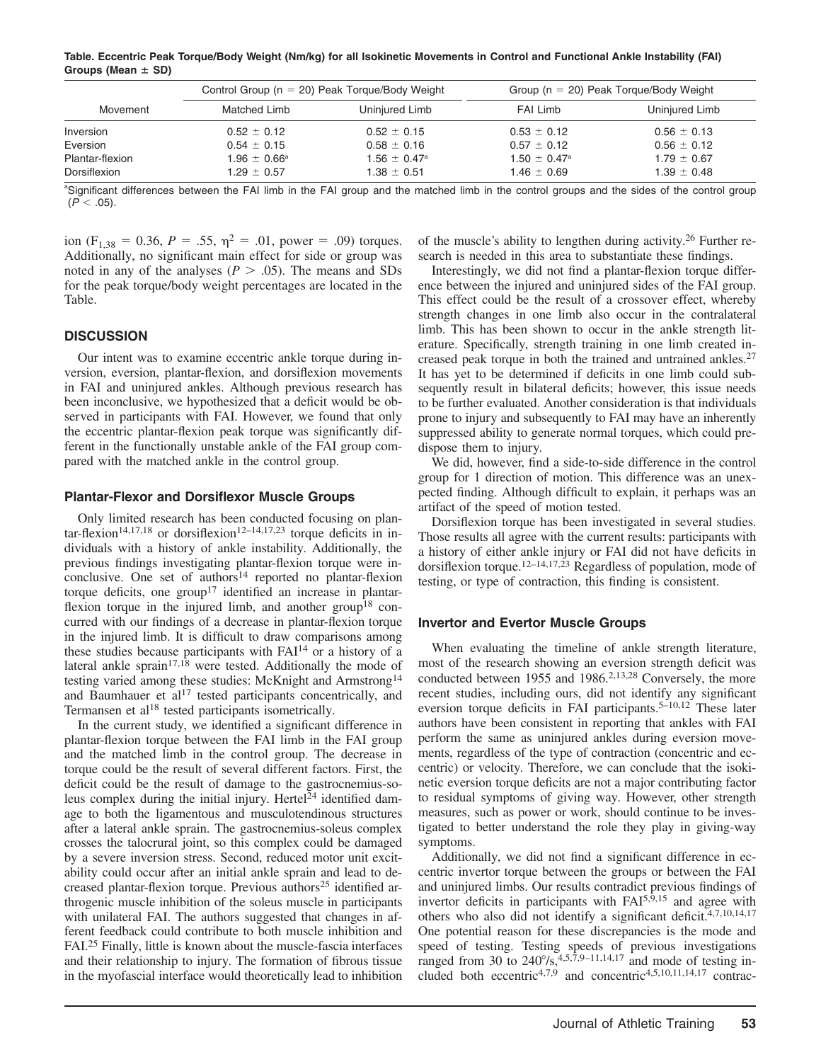**Table. Eccentric Peak Torque/Body Weight (Nm/kg) for all Isokinetic Movements in Control and Functional Ankle Instability (FAI)** Groups (Mean  $\pm$  SD)

|                 | Control Group ( $n = 20$ ) Peak Torque/Body Weight |                            | Group ( $n = 20$ ) Peak Torque/Body Weight |                 |
|-----------------|----------------------------------------------------|----------------------------|--------------------------------------------|-----------------|
| Movement        | Matched Limb                                       | Uninjured Limb             | FAI Limb                                   | Uninjured Limb  |
| Inversion       | $0.52 \pm 0.12$                                    | $0.52 \pm 0.15$            | $0.53 \pm 0.12$                            | $0.56 \pm 0.13$ |
| Eversion        | $0.54 \pm 0.15$                                    | $0.58 \pm 0.16$            | $0.57 \pm 0.12$                            | $0.56 \pm 0.12$ |
| Plantar-flexion | $1.96 \pm 0.66^{\circ}$                            | $1.56 + 0.47$ <sup>a</sup> | $1.50 \pm 0.47^{\circ}$                    | $1.79 \pm 0.67$ |
| Dorsiflexion    | $1.29 \pm 0.57$                                    | $1.38 \pm 0.51$            | $1.46 \pm 0.69$                            | $1.39 \pm 0.48$ |

<sup>a</sup> Significant differences between the FAI limb in the FAI group and the matched limb in the control groups and the sides of the control group  $(P < .05)$ .

ion (F<sub>1,38</sub> = 0.36, *P* = .55,  $\eta^2$  = .01, power = .09) torques. Additionally, no significant main effect for side or group was noted in any of the analyses ( $P > .05$ ). The means and SDs for the peak torque/body weight percentages are located in the Table.

# **DISCUSSION**

Our intent was to examine eccentric ankle torque during inversion, eversion, plantar-flexion, and dorsiflexion movements in FAI and uninjured ankles. Although previous research has been inconclusive, we hypothesized that a deficit would be observed in participants with FAI. However, we found that only the eccentric plantar-flexion peak torque was significantly different in the functionally unstable ankle of the FAI group compared with the matched ankle in the control group.

#### **Plantar-Flexor and Dorsiflexor Muscle Groups**

Only limited research has been conducted focusing on plan- $\arctan^{-14,17,18}$  or dorsiflexion<sup>12–14,17,23</sup> torque deficits in individuals with a history of ankle instability. Additionally, the previous findings investigating plantar-flexion torque were inconclusive. One set of authors<sup>14</sup> reported no plantar-flexion torque deficits, one group<sup>17</sup> identified an increase in plantarflexion torque in the injured limb, and another group<sup>18</sup> concurred with our findings of a decrease in plantar-flexion torque in the injured limb. It is difficult to draw comparisons among these studies because participants with  $FAI<sup>14</sup>$  or a history of a lateral ankle sprain<sup>17,18</sup> were tested. Additionally the mode of testing varied among these studies: McKnight and Armstrong<sup>14</sup> and Baumhauer et al<sup>17</sup> tested participants concentrically, and Termansen et al<sup>18</sup> tested participants isometrically.

In the current study, we identified a significant difference in plantar-flexion torque between the FAI limb in the FAI group and the matched limb in the control group. The decrease in torque could be the result of several different factors. First, the deficit could be the result of damage to the gastrocnemius-soleus complex during the initial injury. Hertel $^{24}$  identified damage to both the ligamentous and musculotendinous structures after a lateral ankle sprain. The gastrocnemius-soleus complex crosses the talocrural joint, so this complex could be damaged by a severe inversion stress. Second, reduced motor unit excitability could occur after an initial ankle sprain and lead to decreased plantar-flexion torque. Previous authors<sup>25</sup> identified arthrogenic muscle inhibition of the soleus muscle in participants with unilateral FAI. The authors suggested that changes in afferent feedback could contribute to both muscle inhibition and FAI.25 Finally, little is known about the muscle-fascia interfaces and their relationship to injury. The formation of fibrous tissue in the myofascial interface would theoretically lead to inhibition

of the muscle's ability to lengthen during activity.26 Further research is needed in this area to substantiate these findings.

Interestingly, we did not find a plantar-flexion torque difference between the injured and uninjured sides of the FAI group. This effect could be the result of a crossover effect, whereby strength changes in one limb also occur in the contralateral limb. This has been shown to occur in the ankle strength literature. Specifically, strength training in one limb created increased peak torque in both the trained and untrained ankles.27 It has yet to be determined if deficits in one limb could subsequently result in bilateral deficits; however, this issue needs to be further evaluated. Another consideration is that individuals prone to injury and subsequently to FAI may have an inherently suppressed ability to generate normal torques, which could predispose them to injury.

We did, however, find a side-to-side difference in the control group for 1 direction of motion. This difference was an unexpected finding. Although difficult to explain, it perhaps was an artifact of the speed of motion tested.

Dorsiflexion torque has been investigated in several studies. Those results all agree with the current results: participants with a history of either ankle injury or FAI did not have deficits in dorsiflexion torque.12–14,17,23 Regardless of population, mode of testing, or type of contraction, this finding is consistent.

## **Invertor and Evertor Muscle Groups**

When evaluating the timeline of ankle strength literature, most of the research showing an eversion strength deficit was conducted between 1955 and 1986.2,13,28 Conversely, the more recent studies, including ours, did not identify any significant eversion torque deficits in FAI participants.<sup>5–10,12</sup> These later authors have been consistent in reporting that ankles with FAI perform the same as uninjured ankles during eversion movements, regardless of the type of contraction (concentric and eccentric) or velocity. Therefore, we can conclude that the isokinetic eversion torque deficits are not a major contributing factor to residual symptoms of giving way. However, other strength measures, such as power or work, should continue to be investigated to better understand the role they play in giving-way symptoms.

Additionally, we did not find a significant difference in eccentric invertor torque between the groups or between the FAI and uninjured limbs. Our results contradict previous findings of invertor deficits in participants with FAI<sup>5,9,15</sup> and agree with others who also did not identify a significant deficit.4,7,10,14,17 One potential reason for these discrepancies is the mode and speed of testing. Testing speeds of previous investigations ranged from 30 to  $240^{\circ}/s$ ,  $4,5,7,9-11,14,17$  and mode of testing included both eccentric4,7,9 and concentric4,5,10,11,14,17 contrac